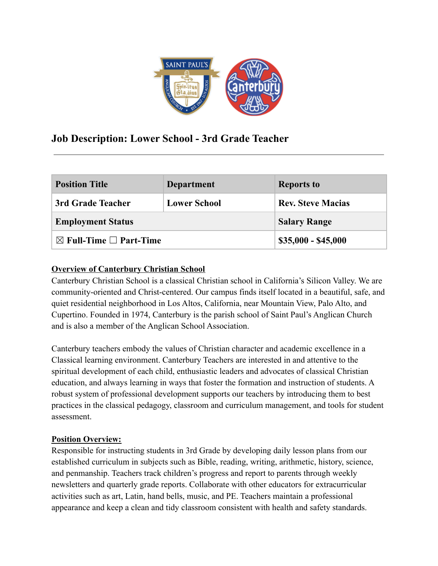

# **Job Description: Lower School - 3rd Grade Teacher**

| <b>Position Title</b>                  | <b>Department</b>   | <b>Reports to</b>        |
|----------------------------------------|---------------------|--------------------------|
| 3rd Grade Teacher                      | <b>Lower School</b> | <b>Rev. Steve Macias</b> |
| <b>Employment Status</b>               |                     | <b>Salary Range</b>      |
| $\boxtimes$ Full-Time $\Box$ Part-Time |                     | $$35,000 - $45,000$      |

## **Overview of Canterbury Christian School**

Canterbury Christian School is a classical Christian school in California's Silicon Valley. We are community-oriented and Christ-centered. Our campus finds itself located in a beautiful, safe, and quiet residential neighborhood in Los Altos, California, near Mountain View, Palo Alto, and Cupertino. Founded in 1974, Canterbury is the parish school of Saint Paul's Anglican Church and is also a member of the Anglican School Association.

Canterbury teachers embody the values of Christian character and academic excellence in a Classical learning environment. Canterbury Teachers are interested in and attentive to the spiritual development of each child, enthusiastic leaders and advocates of classical Christian education, and always learning in ways that foster the formation and instruction of students. A robust system of professional development supports our teachers by introducing them to best practices in the classical pedagogy, classroom and curriculum management, and tools for student assessment.

### **Position Overview:**

Responsible for instructing students in 3rd Grade by developing daily lesson plans from our established curriculum in subjects such as Bible, reading, writing, arithmetic, history, science, and penmanship. Teachers track children's progress and report to parents through weekly newsletters and quarterly grade reports. Collaborate with other educators for extracurricular activities such as art, Latin, hand bells, music, and PE. Teachers maintain a professional appearance and keep a clean and tidy classroom consistent with health and safety standards.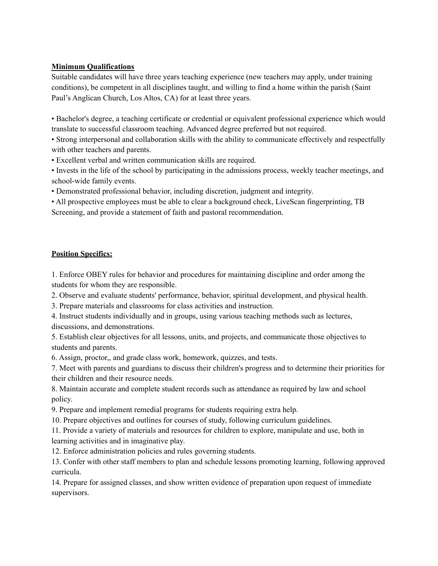#### **Minimum Qualifications**

Suitable candidates will have three years teaching experience (new teachers may apply, under training conditions), be competent in all disciplines taught, and willing to find a home within the parish (Saint Paul's Anglican Church, Los Altos, CA) for at least three years.

• Bachelor's degree, a teaching certificate or credential or equivalent professional experience which would translate to successful classroom teaching. Advanced degree preferred but not required.

• Strong interpersonal and collaboration skills with the ability to communicate effectively and respectfully with other teachers and parents.

• Excellent verbal and written communication skills are required.

• Invests in the life of the school by participating in the admissions process, weekly teacher meetings, and school-wide family events.

• Demonstrated professional behavior, including discretion, judgment and integrity.

• All prospective employees must be able to clear a background check, LiveScan fingerprinting, TB Screening, and provide a statement of faith and pastoral recommendation.

#### **Position Specifics:**

1. Enforce OBEY rules for behavior and procedures for maintaining discipline and order among the students for whom they are responsible.

2. Observe and evaluate students' performance, behavior, spiritual development, and physical health.

3. Prepare materials and classrooms for class activities and instruction.

4. Instruct students individually and in groups, using various teaching methods such as lectures, discussions, and demonstrations.

5. Establish clear objectives for all lessons, units, and projects, and communicate those objectives to students and parents.

6. Assign, proctor,, and grade class work, homework, quizzes, and tests.

7. Meet with parents and guardians to discuss their children's progress and to determine their priorities for their children and their resource needs.

8. Maintain accurate and complete student records such as attendance as required by law and school policy.

9. Prepare and implement remedial programs for students requiring extra help.

10. Prepare objectives and outlines for courses of study, following curriculum guidelines.

11. Provide a variety of materials and resources for children to explore, manipulate and use, both in learning activities and in imaginative play.

12. Enforce administration policies and rules governing students.

13. Confer with other staff members to plan and schedule lessons promoting learning, following approved curricula.

14. Prepare for assigned classes, and show written evidence of preparation upon request of immediate supervisors.